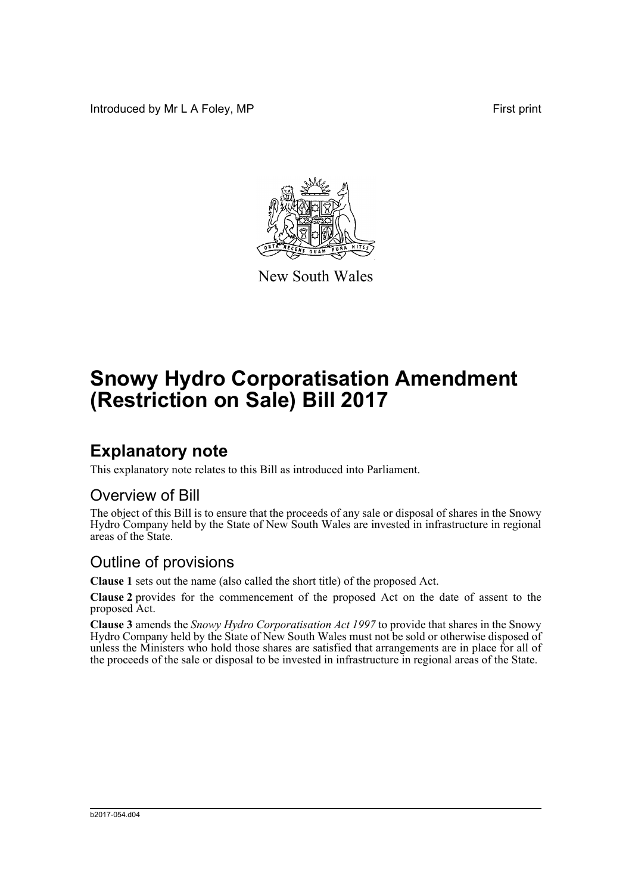Introduced by Mr L A Foley, MP **First** print



New South Wales

# **Snowy Hydro Corporatisation Amendment (Restriction on Sale) Bill 2017**

## **Explanatory note**

This explanatory note relates to this Bill as introduced into Parliament.

#### Overview of Bill

The object of this Bill is to ensure that the proceeds of any sale or disposal of shares in the Snowy Hydro Company held by the State of New South Wales are invested in infrastructure in regional areas of the State.

#### Outline of provisions

**Clause 1** sets out the name (also called the short title) of the proposed Act.

**Clause 2** provides for the commencement of the proposed Act on the date of assent to the proposed Act.

**Clause 3** amends the *Snowy Hydro Corporatisation Act 1997* to provide that shares in the Snowy Hydro Company held by the State of New South Wales must not be sold or otherwise disposed of unless the Ministers who hold those shares are satisfied that arrangements are in place for all of the proceeds of the sale or disposal to be invested in infrastructure in regional areas of the State.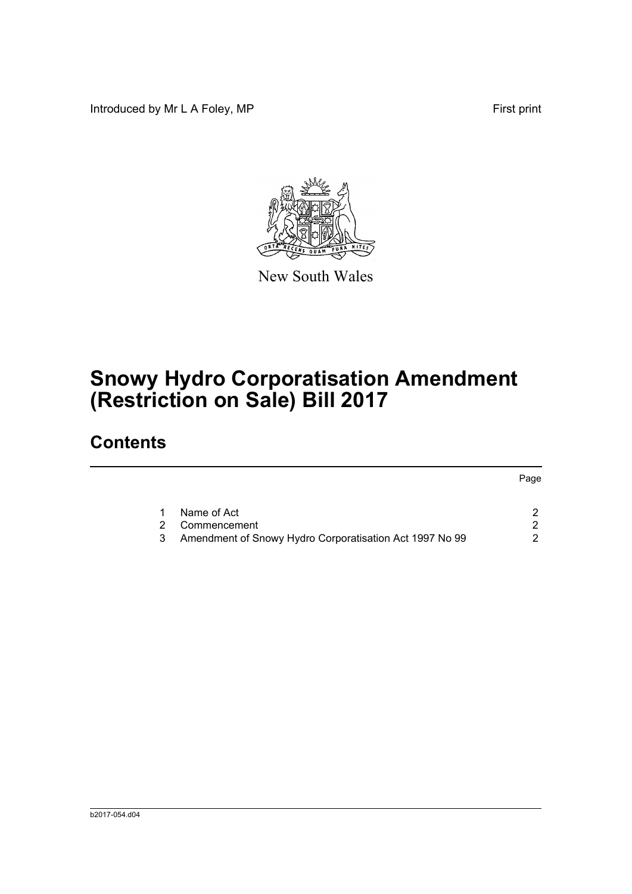Introduced by Mr L A Foley, MP **First** print



New South Wales

# **Snowy Hydro Corporatisation Amendment (Restriction on Sale) Bill 2017**

## **Contents**

|   |                                                         | Page |
|---|---------------------------------------------------------|------|
|   | Name of Act                                             |      |
| 2 | Commencement                                            |      |
|   | Amendment of Snowy Hydro Corporatisation Act 1997 No 99 |      |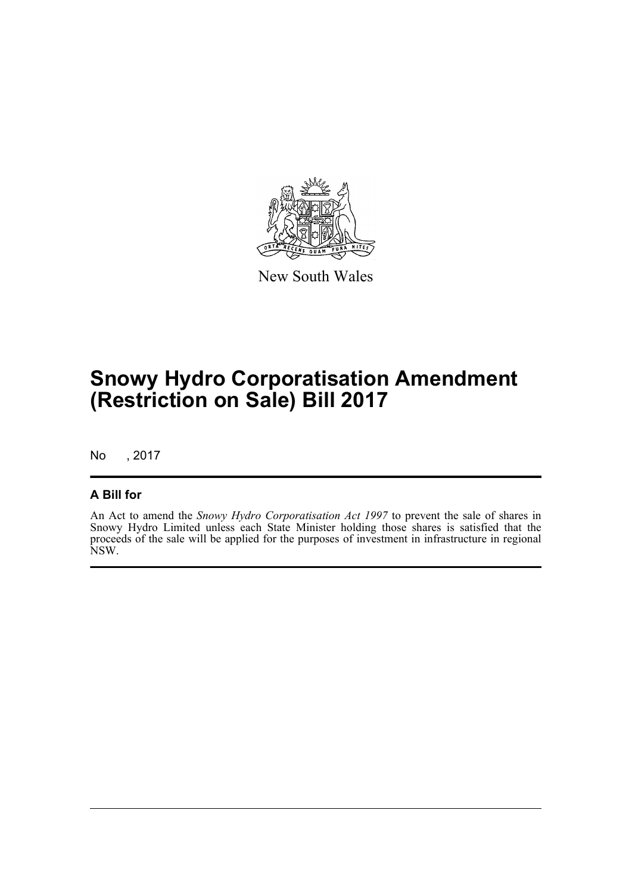

New South Wales

## **Snowy Hydro Corporatisation Amendment (Restriction on Sale) Bill 2017**

No , 2017

#### **A Bill for**

An Act to amend the *Snowy Hydro Corporatisation Act 1997* to prevent the sale of shares in Snowy Hydro Limited unless each State Minister holding those shares is satisfied that the proceeds of the sale will be applied for the purposes of investment in infrastructure in regional NSW.